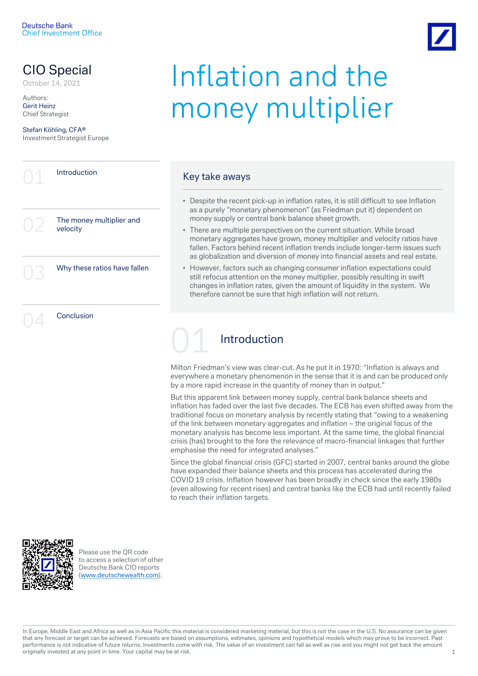## CIO Special

Authors: Gerit Heinz Chief Strategist

Stefan Köhling, CFA® Investment Strategist Europe

**Introduction** The money multiplier and velocity Why these ratios have fallen

**Conclusion** 

# CIO Special **Inflation and the** money multiplier

#### Key take aways

- Despite the recent pick-up in inflation rates, it is still difficult to see Inflation as a purely "monetary phenomenon" (as Friedman put it) dependent on money supply or central bank balance sheet growth.
- There are multiple perspectives on the current situation. While broad monetary aggregates have grown, money multiplier and velocity ratios have fallen. Factors behind recent inflation trends include longer-term issues such as globalization and diversion of money into financial assets and real estate.
- However, factors such as changing consumer inflation expectations could still refocus attention on the money multiplier, possibly resulting in swift changes in inflation rates, given the amount of liquidity in the system. We therefore cannot be sure that high inflation will not return.

## **Introduction**

Milton Friedman's view was clear-cut. As he put it in 1970: "Inflation is always and everywhere a monetary phenomenon in the sense that it is and can be produced only by a more rapid increase in the quantity of money than in output."

But this apparent link between money supply, central bank balance sheets and inflation has faded over the last five decades. The ECB has even shifted away from the traditional focus on monetary analysis by recently stating that "owing to a weakening of the link between monetary aggregates and inflation – the original focus of the monetary analysis has become less important. At the same time, the global financial crisis (has) brought to the fore the relevance of macro-financial linkages that further emphasise the need for integrated analyses."

Since the global financial crisis (GFC) started in 2007, central banks around the globe have expanded their balance sheets and this process has accelerated during the COVID 19 crisis. Inflation however has been broadly in check since the early 1980s (even allowing for recent rises) and central banks like the ECB had until recently failed to reach their inflation targets.



Please use the QR code to access a selection of other Deutsche Bank CIO reports ([www.deutschewealth.com](http://www.deutschewealth.com/)).

In Europe, Middle East and Africa as well as in Asia Pacific this material is considered marketing material, but this is not the case in the U.S. No assurance can be given that any forecast or target can be achieved. Forecasts are based on assumptions, estimates, opinions and hypothetical models which may prove to be incorrect. Past performance is not indicative of future returns. Investments come with risk. The value of an investment can fall as well as rise and you might not get back the amount originally invested at any point in time. Your capital may be at risk. 1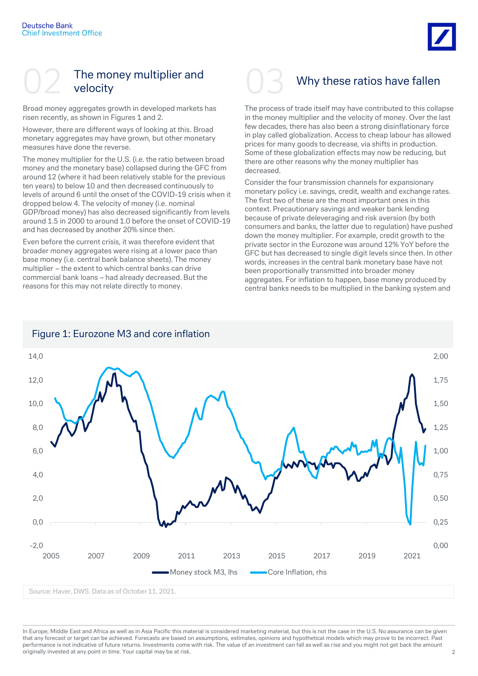

## The money multiplier and velocity

Broad money aggregates growth in developed markets has risen recently, as shown in Figures 1 and 2.

However, there are different ways of looking at this. Broad monetary aggregates may have grown, but other monetary measures have done the reverse.

The money multiplier for the U.S. (i.e. the ratio between broad money and the monetary base) collapsed during the GFC from around 12 (where it had been relatively stable for the previous ten years) to below 10 and then decreased continuously to levels of around 6 until the onset of the COVID-19 crisis when it dropped below 4. The velocity of money (i.e. nominal GDP/broad money) has also decreased significantly from levels around 1.5 in 2000 to around 1.0 before the onset of COVID-19 and has decreased by another 20% since then.

Even before the current crisis, it was therefore evident that broader money aggregates were rising at a lower pace than base money (i.e. central bank balance sheets). The money multiplier – the extent to which central banks can drive commercial bank loans – had already decreased. But the reasons for this may not relate directly to money.



## Why these ratios have fallen

The process of trade itself may have contributed to this collapse in the money multiplier and the velocity of money. Over the last few decades, there has also been a strong disinflationary force in play called globalization. Access to cheap labour has allowed prices for many goods to decrease, via shifts in production. Some of these globalization effects may now be reducing, but there are other reasons why the money multiplier has decreased.

Consider the four transmission channels for expansionary monetary policy i.e. savings, credit, wealth and exchange rates. The first two of these are the most important ones in this context. Precautionary savings and weaker bank lending because of private deleveraging and risk aversion (by both consumers and banks, the latter due to regulation) have pushed down the money multiplier. For example, credit growth to the private sector in the Eurozone was around 12% YoY before the GFC but has decreased to single digit levels since then. In other words, increases in the central bank monetary base have not been proportionally transmitted into broader money aggregates. For inflation to happen, base money produced by central banks needs to be multiplied in the banking system and



Figure 1: Eurozone M3 and core inflation

Source: Haver, DWS. Data as of October 11, 2021.

In Europe, Middle East and Africa as well as in Asia Pacific this material is considered marketing material, but this is not the case in the U.S. No assurance can be given that any forecast or target can be achieved. Forecasts are based on assumptions, estimates, opinions and hypothetical models which may prove to be incorrect. Past performance is not indicative of future returns. Investments come with risk. The value of an investment can fall as well as rise and you might not get back the amount originally invested at any point in time. Your capital may be at risk. 2008. 2012 12:30 AM ST 2008 2012 12:30 AM ST 2008 2012 12:30 AM ST 2008 2012 12:30 AM ST 2012 12:30 AM ST 2012 12:30 AM ST 2012 12:30 AM ST 2012 12:30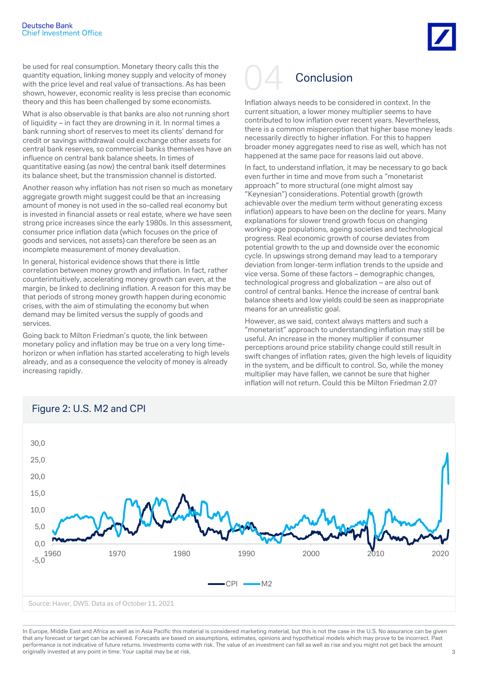be used for real consumption. Monetary theory calls this the quantity equation, linking money supply and velocity of money with the price level and real value of transactions. As has been shown, however, economic reality is less precise than economic theory and this has been challenged by some economists.

What is also observable is that banks are also not running short of liquidity – in fact they are drowning in it. In normal times a bank running short of reserves to meet its clients' demand for credit or savings withdrawal could exchange other assets for central bank reserves, so commercial banks themselves have an influence on central bank balance sheets. In times of quantitative easing (as now) the central bank itself determines its balance sheet, but the transmission channel is distorted.

Another reason why inflation has not risen so much as monetary aggregate growth might suggest could be that an increasing amount of money is not used in the so-called real economy but is invested in financial assets or real estate, where we have seen strong price increases since the early 1980s. In this assessment, consumer price inflation data (which focuses on the price of goods and services, not assets) can therefore be seen as an incomplete measurement of money devaluation.

In general, historical evidence shows that there is little correlation between money growth and inflation. In fact, rather counterintuitively, accelerating money growth can even, at the margin, be linked to declining inflation. A reason for this may be that periods of strong money growth happen during economic crises, with the aim of stimulating the economy but when demand may be limited versus the supply of goods and services.

Going back to Milton Friedman's quote, the link between monetary policy and inflation may be true on a very long timehorizon or when inflation has started accelerating to high levels already, and as a consequence the velocity of money is already increasing rapidly.



Inflation always needs to be considered in context. In the current situation, a lower money multiplier seems to have contributed to low inflation over recent years. Nevertheless, there is a common misperception that higher base money leads necessarily directly to higher inflation. For this to happen broader money aggregates need to rise as well, which has not happened at the same pace for reasons laid out above.

In fact, to understand inflation, it may be necessary to go back even further in time and move from such a "monetarist approach" to more structural (one might almost say "Keynesian") considerations. Potential growth (growth achievable over the medium term without generating excess inflation) appears to have been on the decline for years. Many explanations for slower trend growth focus on changing working-age populations, ageing societies and technological progress. Real economic growth of course deviates from potential growth to the up and downside over the economic cycle. In upswings strong demand may lead to a temporary deviation from longer-term inflation trends to the upside and vice versa. Some of these factors – demographic changes, technological progress and globalization – are also out of control of central banks. Hence the increase of central bank balance sheets and low yields could be seen as inappropriate means for an unrealistic goal.

However, as we said, context always matters and such a "monetarist" approach to understanding inflation may still be useful. An increase in the money multiplier if consumer perceptions around price stability change could still result in swift changes of inflation rates, given the high levels of liquidity in the system, and be difficult to control. So, while the money multiplier may have fallen, we cannot be sure that higher inflation will not return. Could this be Milton Friedman 2.0?



## Figure 2: U.S. M2 and CPI

In Europe, Middle East and Africa as well as in Asia Pacific this material is considered marketing material, but this is not the case in the U.S. No assurance can be given that any forecast or target can be achieved. Forecasts are based on assumptions, estimates, opinions and hypothetical models which may prove to be incorrect. Past performance is not indicative of future returns. Investments come with risk. The value of an investment can fall as well as rise and you might not get back the amount originally invested at any point in time. Your capital may be at risk. 33 AMS AND THE RESERVE TO A RESERVE THE RESERVE TO A RESERVE THE RESERVE TO A RESERVE THE RESERVE TO A RESERVE THE RESERVE TO A RESERVE THE RESERVE TO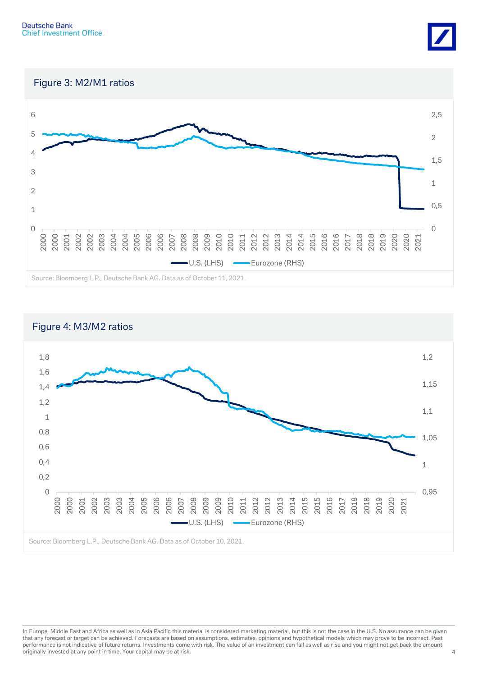

Figure 3: M2/M1 ratios





In Europe, Middle East and Africa as well as in Asia Pacific this material is considered marketing material, but this is not the case in the U.S. No assurance can be given that any forecast or target can be achieved. Forecasts are based on assumptions, estimates, opinions and hypothetical models which may prove to be incorrect. Past performance is not indicative of future returns. Investments come with risk. The value of an investment can fall as well as rise and you might not get back the amount originally invested at any point in time. Your capital may be at risk. 4 and 2008 and 2008 and 2008 and 2008 and 2008 and 2008 and 2008 and 2008 and 2008 and 2008 and 2008 and 2008 and 2008 and 2008 and 2008 and 2008 and 2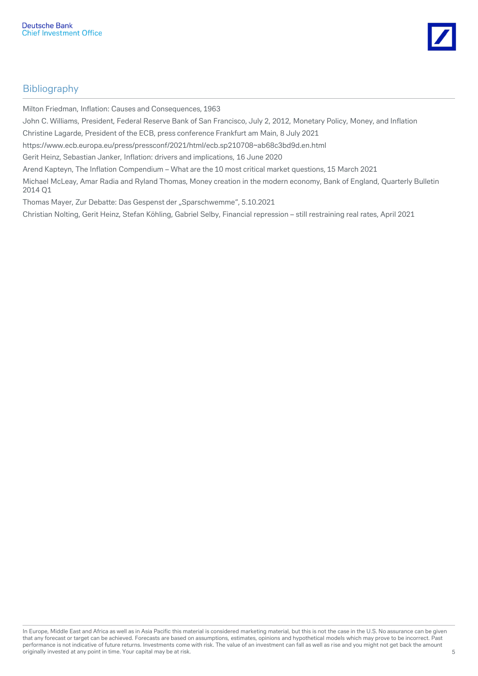

## **Bibliography**

Milton Friedman, Inflation: Causes and Consequences, 1963

John C. Williams, President, Federal Reserve Bank of San Francisco, July 2, 2012, Monetary Policy, Money, and Inflation

Christine Lagarde, President of the ECB, press conference Frankfurt am Main, 8 July 2021

https://www.ecb.europa.eu/press/pressconf/2021/html/ecb.sp210708~ab68c3bd9d.en.html

Gerit Heinz, Sebastian Janker, Inflation: drivers and implications, 16 June 2020

Arend Kapteyn, The Inflation Compendium – What are the 10 most critical market questions, 15 March 2021

Michael McLeay, Amar Radia and Ryland Thomas, Money creation in the modern economy, Bank of England, Quarterly Bulletin 2014 Q1

Thomas Mayer, Zur Debatte: Das Gespenst der "Sparschwemme", 5.10.2021

Christian Nolting, Gerit Heinz, Stefan Köhling, Gabriel Selby, Financial repression – still restraining real rates, April 2021

In Europe, Middle East and Africa as well as in Asia Pacific this material is considered marketing material, but this is not the case in the U.S. No assurance can be given that any forecast or target can be achieved. Forecasts are based on assumptions, estimates, opinions and hypothetical models which may prove to be incorrect. Past performance is not indicative of future returns. Investments come with risk. The value of an investment can fall as well as rise and you might not get back the amount originally invested at any point in time. Your capital may be at risk. 5 and 1 may be at risk. 5 and 1 may be at risk.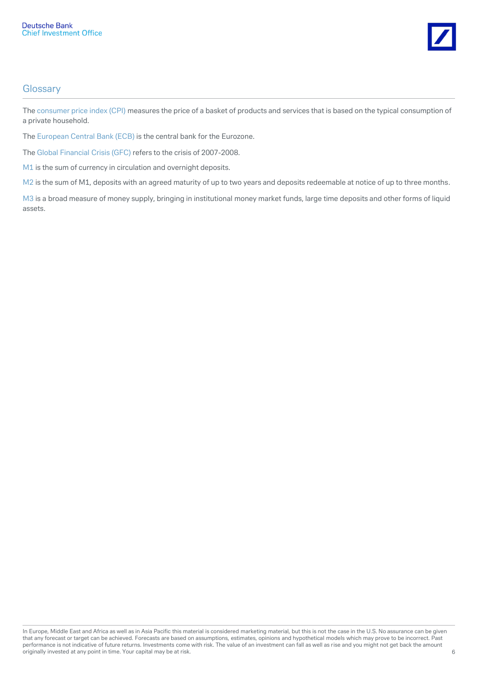

#### **Glossary**

The consumer price index (CPI) measures the price of a basket of products and services that is based on the typical consumption of a private household.

The European Central Bank (ECB) is the central bank for the Eurozone.

The Global Financial Crisis (GFC) refers to the crisis of 2007-2008.

M1 is the sum of currency in circulation and overnight deposits.

M2 is the sum of M1, deposits with an agreed maturity of up to two years and deposits redeemable at notice of up to three months.

M3 is a broad measure of money supply, bringing in institutional money market funds, large time deposits and other forms of liquid assets.

In Europe, Middle East and Africa as well as in Asia Pacific this material is considered marketing material, but this is not the case in the U.S. No assurance can be given that any forecast or target can be achieved. Forecasts are based on assumptions, estimates, opinions and hypothetical models which may prove to be incorrect. Past performance is not indicative of future returns. Investments come with risk. The value of an investment can fall as well as rise and you might not get back the amount originally invested at any point in time. Your capital may be at risk. 6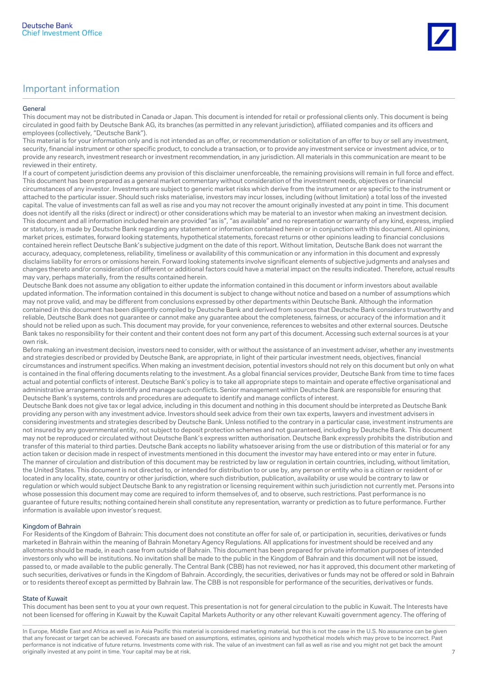#### General

This document may not be distributed in Canada or Japan. This document is intended for retail or professional clients only. This document is being circulated in good faith by Deutsche Bank AG, its branches (as permitted in any relevant jurisdiction), affiliated companies and its officers and employees (collectively, "Deutsche Bank").

This material is for your information only and is not intended as an offer, or recommendation or solicitation of an offer to buy or sell any investment, security, financial instrument or other specific product, to conclude a transaction, or to provide any investment service or investment advice, or to provide any research, investment research or investment recommendation, in any jurisdiction. All materials in this communication are meant to be reviewed in their entirety.

If a court of competent jurisdiction deems any provision of this disclaimer unenforceable, the remaining provisions will remain in full force and effect. This document has been prepared as a general market commentary without consideration of the investment needs, objectives or financial circumstances of any investor. Investments are subject to generic market risks which derive from the instrument or are specific to the instrument or attached to the particular issuer. Should such risks materialise, investors may incur losses, including (without limitation) a total loss of the invested capital. The value of investments can fall as well as rise and you may not recover the amount originally invested at any point in time. This document does not identify all the risks (direct or indirect) or other considerations which may be material to an investor when making an investment decision. This document and all information included herein are provided "as is", "as available" and no representation or warranty of any kind, express, implied or statutory, is made by Deutsche Bank regarding any statement or information contained herein or in conjunction with this document. All opinions, market prices, estimates, forward looking statements, hypothetical statements, forecast returns or other opinions leading to financial conclusions contained herein reflect Deutsche Bank's subjective judgment on the date of this report. Without limitation, Deutsche Bank does not warrant the accuracy, adequacy, completeness, reliability, timeliness or availability of this communication or any information in this document and expressly disclaims liability for errors or omissions herein. Forward looking statements involve significant elements of subjective judgments and analyses and changes thereto and/or consideration of different or additional factors could have a material impact on the results indicated. Therefore, actual results may vary, perhaps materially, from the results contained herein.

Deutsche Bank does not assume any obligation to either update the information contained in this document or inform investors about available updated information. The information contained in this document is subject to change without notice and based on a number of assumptions which may not prove valid, and may be different from conclusions expressed by other departments within Deutsche Bank. Although the information contained in this document has been diligently compiled by Deutsche Bank and derived from sources that Deutsche Bank considers trustworthy and reliable, Deutsche Bank does not guarantee or cannot make any guarantee about the completeness, fairness, or accuracy of the information and it should not be relied upon as such. This document may provide, for your convenience, references to websites and other external sources. Deutsche Bank takes no responsibility for their content and their content does not form any part of this document. Accessing such external sources is at your own risk.

Before making an investment decision, investors need to consider, with or without the assistance of an investment adviser, whether any investments and strategies described or provided by Deutsche Bank, are appropriate, in light of their particular investment needs, objectives, financial circumstances and instrument specifics. When making an investment decision, potential investors should not rely on this document but only on what is contained in the final offering documents relating to the investment. As a global financial services provider, Deutsche Bank from time to time faces actual and potential conflicts of interest. Deutsche Bank's policy is to take all appropriate steps to maintain and operate effective organisational and administrative arrangements to identify and manage such conflicts. Senior management within Deutsche Bank are responsible for ensuring that Deutsche Bank's systems, controls and procedures are adequate to identify and manage conflicts of interest.

Deutsche Bank does not give tax or legal advice, including in this document and nothing in this document should be interpreted as Deutsche Bank providing any person with any investment advice. Investors should seek advice from their own tax experts, lawyers and investment advisers in considering investments and strategies described by Deutsche Bank. Unless notified to the contrary in a particular case, investment instruments are not insured by any governmental entity, not subject to deposit protection schemes and not guaranteed, including by Deutsche Bank. This document may not be reproduced or circulated without Deutsche Bank's express written authorisation. Deutsche Bank expressly prohibits the distribution and transfer of this material to third parties. Deutsche Bank accepts no liability whatsoever arising from the use or distribution of this material or for any action taken or decision made in respect of investments mentioned in this document the investor may have entered into or may enter in future. The manner of circulation and distribution of this document may be restricted by law or regulation in certain countries, including, without limitation, the United States. This document is not directed to, or intended for distribution to or use by, any person or entity who is a citizen or resident of or located in any locality, state, country or other jurisdiction, where such distribution, publication, availability or use would be contrary to law or regulation or which would subject Deutsche Bank to any registration or licensing requirement within such jurisdiction not currently met. Persons into whose possession this document may come are required to inform themselves of, and to observe, such restrictions. Past performance is no guarantee of future results; nothing contained herein shall constitute any representation, warranty or prediction as to future performance. Further information is available upon investor's request.

#### Kingdom of Bahrain

For Residents of the Kingdom of Bahrain: This document does not constitute an offer for sale of, or participation in, securities, derivatives or funds marketed in Bahrain within the meaning of Bahrain Monetary Agency Regulations. All applications for investment should be received and any allotments should be made, in each case from outside of Bahrain. This document has been prepared for private information purposes of intended investors only who will be institutions. No invitation shall be made to the public in the Kingdom of Bahrain and this document will not be issued, passed to, or made available to the public generally. The Central Bank (CBB) has not reviewed, nor has it approved, this document other marketing of such securities, derivatives or funds in the Kingdom of Bahrain. Accordingly, the securities, derivatives or funds may not be offered or sold in Bahrain or to residents thereof except as permitted by Bahrain law. The CBB is not responsible for performance of the securities, derivatives or funds.

#### State of Kuwait

This document has been sent to you at your own request. This presentation is not for general circulation to the public in Kuwait. The Interests have not been licensed for offering in Kuwait by the Kuwait Capital Markets Authority or any other relevant Kuwaiti government agency. The offering of

In Europe, Middle East and Africa as well as in Asia Pacific this material is considered marketing material, but this is not the case in the U.S. No assurance can be given that any forecast or target can be achieved. Forecasts are based on assumptions, estimates, opinions and hypothetical models which may prove to be incorrect. Past performance is not indicative of future returns. Investments come with risk. The value of an investment can fall as well as rise and you might not get back the amount originally invested at any point in time. Your capital may be at risk.  $\overline{7}$ 

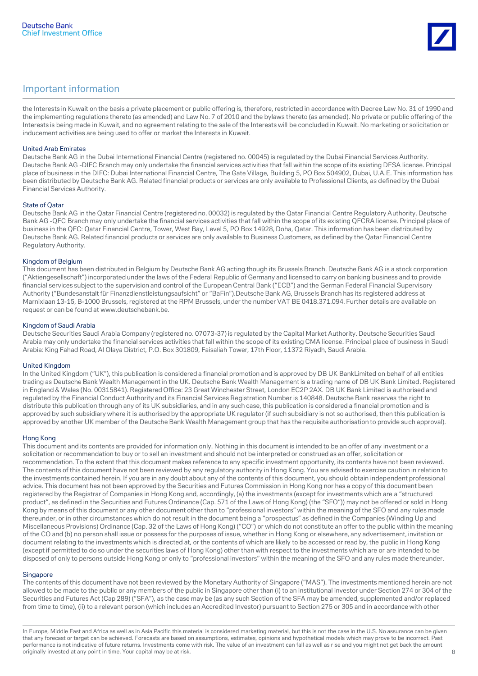

the Interests in Kuwait on the basis a private placement or public offering is, therefore, restricted in accordance with Decree Law No. 31 of 1990 and the implementing regulations thereto (as amended) and Law No. 7 of 2010 and the bylaws thereto (as amended). No private or public offering of the Interests is being made in Kuwait, and no agreement relating to the sale of the Interests will be concluded in Kuwait. No marketing or solicitation or inducement activities are being used to offer or market the Interests in Kuwait.

#### United Arab Emirates

Deutsche Bank AG in the Dubai International Financial Centre (registered no. 00045) is regulated by the Dubai Financial Services Authority. Deutsche Bank AG -DIFC Branch may only undertake the financial services activities that fall within the scope of its existing DFSA license. Principal place of business in the DIFC: Dubai International Financial Centre, The Gate Village, Building 5, PO Box 504902, Dubai, U.A.E. This information has been distributed by Deutsche Bank AG. Related financial products or services are only available to Professional Clients, as defined by the Dubai Financial Services Authority.

#### State of Qatar

Deutsche Bank AG in the Qatar Financial Centre (registered no. 00032) is regulated by the Qatar Financial Centre Regulatory Authority. Deutsche Bank AG -QFC Branch may only undertake the financial services activities that fall within the scope of its existing QFCRA license. Principal place of business in the QFC: Qatar Financial Centre, Tower, West Bay, Level 5, PO Box 14928, Doha, Qatar. This information has been distributed by Deutsche Bank AG. Related financial products or services are only available to Business Customers, as defined by the Qatar Financial Centre Regulatory Authority.

#### Kingdom of Belgium

This document has been distributed in Belgium by Deutsche Bank AG acting though its Brussels Branch. Deutsche Bank AG is a stock corporation ("Aktiengesellschaft") incorporated under the laws of the Federal Republic of Germany and licensed to carry on banking business and to provide financial services subject to the supervision and control of the European Central Bank ("ECB") and the German Federal Financial Supervisory Authority ("Bundesanstalt für Finanzdienstleistungsaufsicht" or "BaFin").Deutsche Bank AG, Brussels Branch has its registered address at Marnixlaan 13-15, B-1000 Brussels, registered at the RPM Brussels, under the number VAT BE 0418.371.094. Further details are available on request or can be found at www.deutschebank.be.

#### Kingdom of Saudi Arabia

Deutsche Securities Saudi Arabia Company (registered no. 07073-37) is regulated by the Capital Market Authority. Deutsche Securities Saudi Arabia may only undertake the financial services activities that fall within the scope of its existing CMA license. Principal place of business in Saudi Arabia: King Fahad Road, Al Olaya District, P.O. Box 301809, Faisaliah Tower, 17th Floor, 11372 Riyadh, Saudi Arabia.

#### United Kingdom

In the United Kingdom ("UK"), this publication is considered a financial promotion and is approved by DB UK BankLimited on behalf of all entities trading as Deutsche Bank Wealth Management in the UK. Deutsche Bank Wealth Management is a trading name of DB UK Bank Limited. Registered in England & Wales (No. 00315841). Registered Office: 23 Great Winchester Street, London EC2P 2AX. DB UK Bank Limited is authorised and regulated by the Financial Conduct Authority and its Financial Services Registration Number is 140848. Deutsche Bank reserves the right to distribute this publication through any of its UK subsidiaries, and in any such case, this publication is considered a financial promotion and is approved by such subsidiary where it is authorised by the appropriate UK regulator (if such subsidiary is not so authorised, then this publication is approved by another UK member of the Deutsche Bank Wealth Management group that has the requisite authorisation to provide such approval).

#### Hong Kong

This document and its contents are provided for information only. Nothing in this document is intended to be an offer of any investment or a solicitation or recommendation to buy or to sell an investment and should not be interpreted or construed as an offer, solicitation or recommendation. To the extent that this document makes reference to any specific investment opportunity, its contents have not been reviewed. The contents of this document have not been reviewed by any regulatory authority in Hong Kong. You are advised to exercise caution in relation to the investments contained herein. If you are in any doubt about any of the contents of this document, you should obtain independent professional advice. This document has not been approved by the Securities and Futures Commission in Hong Kong nor has a copy of this document been registered by the Registrar of Companies in Hong Kong and, accordingly, (a) the investments (except for investments which are a "structured product", as defined in the Securities and Futures Ordinance (Cap. 571 of the Laws of Hong Kong) (the "SFO")) may not be offered or sold in Hong Kong by means of this document or any other document other than to "professional investors" within the meaning of the SFO and any rules made thereunder, or in other circumstances which do not result in the document being a "prospectus" as defined in the Companies (Winding Up and Miscellaneous Provisions) Ordinance (Cap. 32 of the Laws of Hong Kong) ("CO") or which do not constitute an offer to the public within the meaning of the CO and (b) no person shall issue or possess for the purposes of issue, whether in Hong Kong or elsewhere, any advertisement, invitation or document relating to the investments which is directed at, or the contents of which are likely to be accessed or read by, the public in Hong Kong (except if permitted to do so under the securities laws of Hong Kong) other than with respect to the investments which are or are intended to be disposed of only to persons outside Hong Kong or only to "professional investors" within the meaning of the SFO and any rules made thereunder.

#### **Singapore**

The contents of this document have not been reviewed by the Monetary Authority of Singapore ("MAS"). The investments mentioned herein are not allowed to be made to the public or any members of the public in Singapore other than (i) to an institutional investor under Section 274 or 304 of the Securities and Futures Act (Cap 289) ("SFA"), as the case may be (as any such Section of the SFA may be amended, supplemented and/or replaced from time to time), (ii) to a relevant person (which includes an Accredited Investor) pursuant to Section 275 or 305 and in accordance with other

In Europe, Middle East and Africa as well as in Asia Pacific this material is considered marketing material, but this is not the case in the U.S. No assurance can be given that any forecast or target can be achieved. Forecasts are based on assumptions, estimates, opinions and hypothetical models which may prove to be incorrect. Past performance is not indicative of future returns. Investments come with risk. The value of an investment can fall as well as rise and you might not get back the amount originally invested at any point in time. Your capital may be at risk. 8 and 1 and 1 and 1 and 1 and 1 and 1 and 1 and 1 and 1 and 1 and 1 and 1 and 1 and 1 and 1 and 1 and 1 and 1 and 1 and 1 and 1 and 1 and 1 and 1 and 1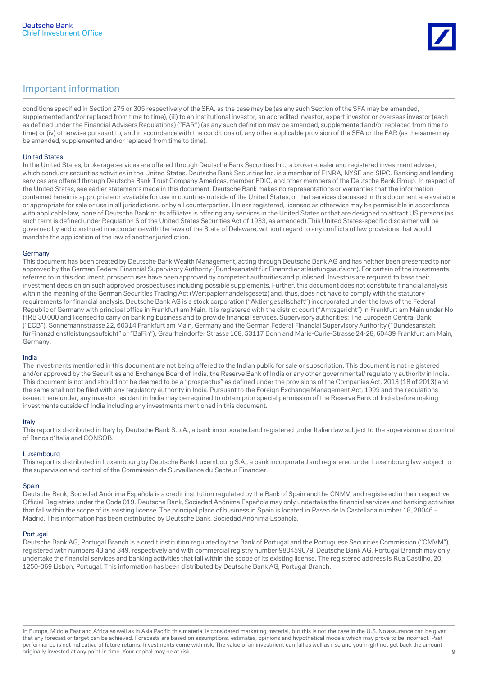

conditions specified in Section 275 or 305 respectively of the SFA, as the case may be (as any such Section of the SFA may be amended, supplemented and/or replaced from time to time), (iii) to an institutional investor, an accredited investor, expert investor or overseas investor (each as defined under the Financial Advisers Regulations) ("FAR") (as any such definition may be amended, supplemented and/or replaced from time to time) or (iv) otherwise pursuant to, and in accordance with the conditions of, any other applicable provision of the SFA or the FAR (as the same may be amended, supplemented and/or replaced from time to time).

#### United States

In the United States, brokerage services are offered through Deutsche Bank Securities Inc., a broker-dealer and registered investment adviser, which conducts securities activities in the United States. Deutsche Bank Securities Inc. is a member of FINRA, NYSE and SIPC. Banking and lending services are offered through Deutsche Bank Trust Company Americas, member FDIC, and other members of the Deutsche Bank Group. In respect of the United States, see earlier statements made in this document. Deutsche Bank makes no representations or warranties that the information contained herein is appropriate or available for use in countries outside of the United States, or that services discussed in this document are available or appropriate for sale or use in all jurisdictions, or by all counterparties. Unless registered, licensed as otherwise may be permissible in accordance with applicable law, none of Deutsche Bank or its affiliates is offering any services in the United States or that are designed to attract US persons (as such term is defined under Regulation S of the United States Securities Act of 1933, as amended).This United States-specific disclaimer will be governed by and construed in accordance with the laws of the State of Delaware, without regard to any conflicts of law provisions that would mandate the application of the law of another jurisdiction.

#### Germany

This document has been created by Deutsche Bank Wealth Management, acting through Deutsche Bank AG and has neither been presented to nor approved by the German Federal Financial Supervisory Authority (Bundesanstalt für Finanzdienstleistungsaufsicht). For certain of the investments referred to in this document, prospectuses have been approved by competent authorities and published. Investors are required to base their investment decision on such approved prospectuses including possible supplements. Further, this document does not constitute financial analysis within the meaning of the German Securities Trading Act (Wertpapierhandelsgesetz) and, thus, does not have to comply with the statutory requirements for financial analysis. Deutsche Bank AG is a stock corporation ("Aktiengesellschaft") incorporated under the laws of the Federal Republic of Germany with principal office in Frankfurt am Main. It is registered with the district court ("Amtsgericht") in Frankfurt am Main under No HRB 30 000 and licensed to carry on banking business and to provide financial services. Supervisory authorities: The European Central Bank ("ECB"), Sonnemannstrasse 22, 60314 Frankfurt am Main, Germany and the German Federal Financial Supervisory Authority ("Bundesanstalt fürFinanzdienstleistungsaufsicht" or "BaFin"), Graurheindorfer Strasse 108, 53117 Bonn and Marie-Curie-Strasse 24-28, 60439 Frankfurt am Main, Germany.

#### India

The investments mentioned in this document are not being offered to the Indian public for sale or subscription. This document is not re gistered and/or approved by the Securities and Exchange Board of India, the Reserve Bank of India or any other governmental/ regulatory authority in India. This document is not and should not be deemed to be a "prospectus" as defined under the provisions of the Companies Act, 2013 (18 of 2013) and the same shall not be filed with any regulatory authority in India. Pursuant to the Foreign Exchange Management Act, 1999 and the regulations issued there under, any investor resident in India may be required to obtain prior special permission of the Reserve Bank of India before making investments outside of India including any investments mentioned in this document.

#### Italy

This report is distributed in Italy by Deutsche Bank S.p.A., a bank incorporated and registered under Italian law subject to the supervision and control of Banca d'Italia and CONSOB.

#### Luxembourg

This report is distributed in Luxembourg by Deutsche Bank Luxembourg S.A., a bank incorporated and registered under Luxembourg law subject to the supervision and control of the Commission de Surveillance du Secteur Financier.

#### **Spain**

Deutsche Bank, Sociedad Anónima Española is a credit institution regulated by the Bank of Spain and the CNMV, and registered in their respective Official Registries under the Code 019. Deutsche Bank, Sociedad Anónima Española may only undertake the financial services and banking activities that fall within the scope of its existing license. The principal place of business in Spain is located in Paseo de la Castellana number 18, 28046 - Madrid. This information has been distributed by Deutsche Bank, Sociedad Anónima Española.

#### Portugal

Deutsche Bank AG, Portugal Branch is a credit institution regulated by the Bank of Portugal and the Portuguese Securities Commission ("CMVM"), registered with numbers 43 and 349, respectively and with commercial registry number 980459079. Deutsche Bank AG, Portugal Branch may only undertake the financial services and banking activities that fall within the scope of its existing license. The registered address is Rua Castilho, 20, 1250-069 Lisbon, Portugal. This information has been distributed by Deutsche Bank AG, Portugal Branch.

In Europe, Middle East and Africa as well as in Asia Pacific this material is considered marketing material, but this is not the case in the U.S. No assurance can be given that any forecast or target can be achieved. Forecasts are based on assumptions, estimates, opinions and hypothetical models which may prove to be incorrect. Past performance is not indicative of future returns. Investments come with risk. The value of an investment can fall as well as rise and you might not get back the amount originally invested at any point in time. Your capital may be at risk. 9